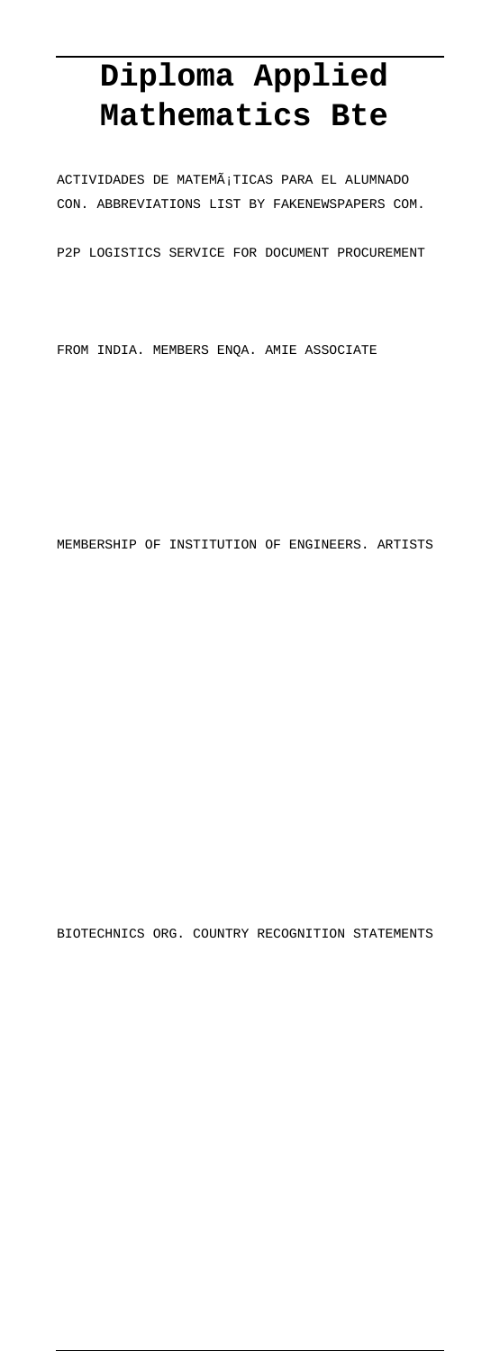## **Diploma Applied Mathematics Bte**

 $\verb|ACTIVIDADES DE MATEMÅ|TICAS PARA EL ALUMNADO$ CON. ABBREVIATIONS LIST BY FAKENEWSPAPERS COM.

P2P LOGISTICS SERVICE FOR DOCUMENT PROCUREMENT

FROM INDIA. MEMBERS ENQA. AMIE ASSOCIATE

MEMBERSHIP OF INSTITUTION OF ENGINEERS. ARTISTS

BIOTECHNICS ORG. COUNTRY RECOGNITION STATEMENTS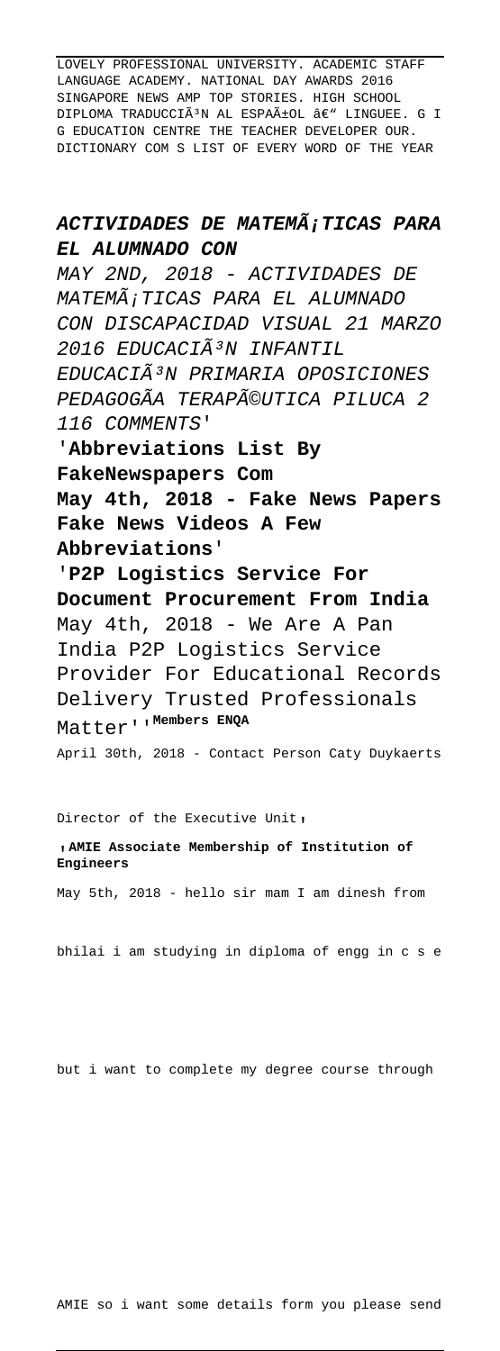LOVELY PROFESSIONAL UNIVERSITY. ACADEMIC STAFF LANGUAGE ACADEMY. NATIONAL DAY AWARDS 2016 SINGAPORE NEWS AMP TOP STORIES. HIGH SCHOOL DIPLOMA TRADUCCIÃ<sup>3</sup>N AL ESPAñOL â€" LINGUEE. G I G EDUCATION CENTRE THE TEACHER DEVELOPER OUR. DICTIONARY COM S LIST OF EVERY WORD OF THE YEAR

## ACTIVIDADES DE MATEMá TICAS PARA **EL ALUMNADO CON**

MAY 2ND, 2018 - ACTIVIDADES DE MATEMÃ; TICAS PARA EL ALUMNADO CON DISCAPACIDAD VISUAL 21 MARZO 2016 EDUCACIÃ<sup>3</sup>N INFANTIL EDUCACIÃ<sup>3</sup>N PRIMARIA OPOSICIONES PEDAGOGÃA TERAPéUTICA PILUCA 2 116 COMMENTS' '**Abbreviations List By FakeNewspapers Com May 4th, 2018 - Fake News Papers Fake News Videos A Few Abbreviations**' '**P2P Logistics Service For Document Procurement From India** May 4th, 2018 - We Are A Pan India P2P Logistics Service

Provider For Educational Records Delivery Trusted Professionals Matter''**Members ENQA**

April 30th, 2018 - Contact Person Caty Duykaerts

Director of the Executive Unit,

## '**AMIE Associate Membership of Institution of Engineers**

May 5th, 2018 - hello sir mam I am dinesh from

bhilai i am studying in diploma of engg in c s e

but i want to complete my degree course through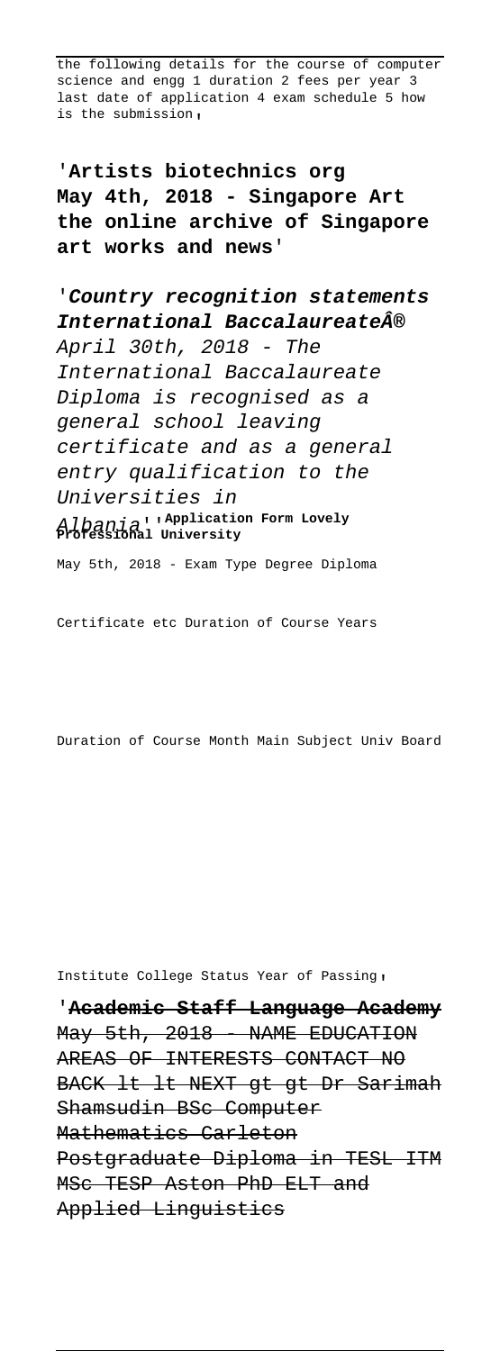the following details for the course of computer science and engg 1 duration 2 fees per year 3 last date of application 4 exam schedule 5 how is the submission,

'**Artists biotechnics org May 4th, 2018 - Singapore Art the online archive of Singapore art works and news**'

'**Country recognition statements International Baccalaureate®** April 30th, 2018 - The International Baccalaureate Diploma is recognised as a general school leaving certificate and as a general entry qualification to the Universities in Albania''**Application Form Lovely Professional University**

May 5th, 2018 - Exam Type Degree Diploma

Certificate etc Duration of Course Years

Duration of Course Month Main Subject Univ Board

Institute College Status Year of Passing'

'**Academic Staff Language Academy** May 5th, 2018 - NAME EDUCATION AREAS OF INTERESTS CONTACT NO BACK lt lt NEXT gt gt Dr Sarimah Shamsudin BSc Computer Mathematics Carleton Postgraduate Diploma in TESL ITM MSc TESP Aston PhD ELT and Applied Linguistics